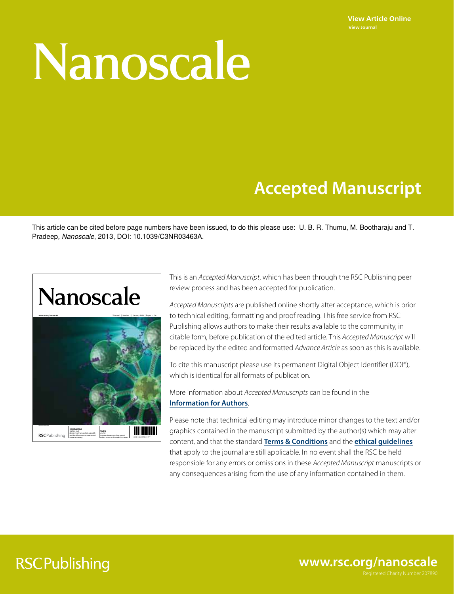**View Article Online View Journal**

# Nanoscale

## **Accepted Manuscript**

This article can be cited before page numbers have been issued, to do this please use: U. B. R. Thumu, M. Bootharaju and T. Pradeep, Nanoscale, 2013, DOI: 10.1039/C3NR03463A.

## **Nanoscale**



This is an Accepted Manuscript, which has been through the RSC Publishing peer review process and has been accepted for publication.

Accepted Manuscripts are published online shortly after acceptance, which is prior to technical editing, formatting and proof reading. This free service from RSC Publishing allows authors to make their results available to the community, in citable form, before publication of the edited article. This Accepted Manuscript will be replaced by the edited and formatted Advance Article as soon as this is available.

To cite this manuscript please use its permanent Digital Object Identifier (DOI®), which is identical for all formats of publication.

More information about Accepted Manuscripts can be found in the **Information for Authors**.

Please note that technical editing may introduce minor changes to the text and/or graphics contained in the manuscript submitted by the author(s) which may alter content, and that the standard **Terms & Conditions** and the **ethical guidelines** that apply to the journal are still applicable. In no event shall the RSC be held responsible for any errors or omissions in these Accepted Manuscript manuscripts or any consequences arising from the use of any information contained in them.

## **RSCPublishing**

**www.rsc.org/nanoscale**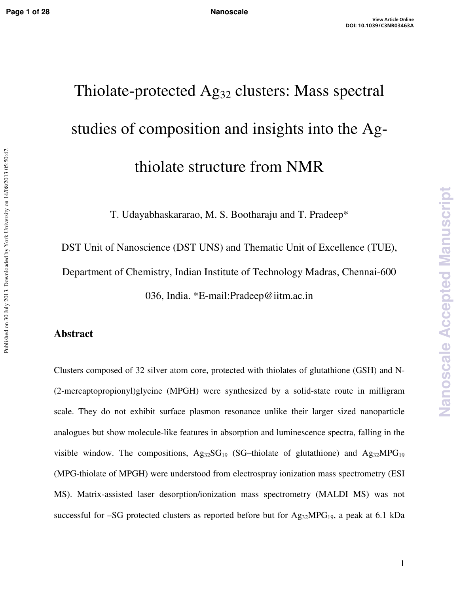Published on 30 July 2013. Downloaded by York University on 14/08/2013 05:50:47.

## Thiolate-protected Ag<sub>32</sub> clusters: Mass spectral studies of composition and insights into the Agthiolate structure from NMR

T. Udayabhaskararao, M. S. Bootharaju and T. Pradeep\*

DST Unit of Nanoscience (DST UNS) and Thematic Unit of Excellence (TUE), Department of Chemistry, Indian Institute of Technology Madras, Chennai-600 036, India. \*E-mail:Pradeep@iitm.ac.in

## **Abstract**

Clusters composed of 32 silver atom core, protected with thiolates of glutathione (GSH) and N- (2-mercaptopropionyl)glycine (MPGH) were synthesized by a solid-state route in milligram scale. They do not exhibit surface plasmon resonance unlike their larger sized nanoparticle analogues but show molecule-like features in absorption and luminescence spectra, falling in the visible window. The compositions,  $Ag_{32}SG_{19}$  (SG–thiolate of glutathione) and  $Ag_{32}MPG_{19}$ (MPG-thiolate of MPGH) were understood from electrospray ionization mass spectrometry (ESI MS). Matrix-assisted laser desorption/ionization mass spectrometry (MALDI MS) was not successful for –SG protected clusters as reported before but for  $Ag_{32}MPG_{19}$ , a peak at 6.1 kDa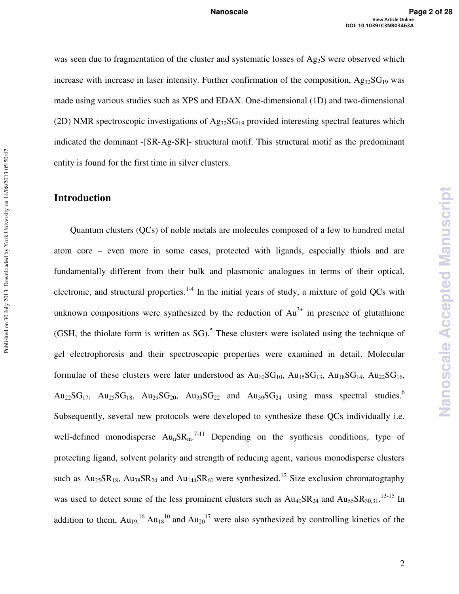was seen due to fragmentation of the cluster and systematic losses of  $Ag_2S$  were observed which increase with increase in laser intensity. Further confirmation of the composition,  $Ag_{32}SG_{19}$  was made using various studies such as XPS and EDAX. One-dimensional (1D) and two-dimensional (2D) NMR spectroscopic investigations of  $Ag_{32}SG_{19}$  provided interesting spectral features which indicated the dominant -[SR-Ag-SR]- structural motif. This structural motif as the predominant entity is found for the first time in silver clusters.

## **Introduction**

Published on 30 July 2013. Downloaded by York University on 14/08/2013 05:50:47.

Published on 30 July 2013. Downloaded by York University on 14/08/2013 05:50:47.

Quantum clusters (QCs) of noble metals are molecules composed of a few to hundred metal atom core – even more in some cases, protected with ligands, especially thiols and are fundamentally different from their bulk and plasmonic analogues in terms of their optical, electronic, and structural properties.<sup>1-4</sup> In the initial years of study, a mixture of gold QCs with unknown compositions were synthesized by the reduction of  $Au^{3+}$  in presence of glutathione (GSH, the thiolate form is written as  $SG$ ).<sup>5</sup> These clusters were isolated using the technique of gel electrophoresis and their spectroscopic properties were examined in detail. Molecular formulae of these clusters were later understood as  $Au_{10}SG_{10}$ ,  $Au_{15}SG_{13}$ ,  $Au_{18}SG_{14}$ ,  $Au_{22}SG_{16}$ ,  $Au_{22}SG_{17}$ ,  $Au_{25}SG_{18}$ ,  $Au_{29}SG_{20}$ ,  $Au_{33}SG_{22}$  and  $Au_{39}SG_{24}$  using mass spectral studies.<sup>6</sup> Subsequently, several new protocols were developed to synthesize these QCs individually i.e. well-defined monodisperse  $Au_nSR_m$ .<sup>7-11</sup> Depending on the synthesis conditions, type of protecting ligand, solvent polarity and strength of reducing agent, various monodisperse clusters such as  $Au_{25}SR_{18}$ ,  $Au_{38}SR_{24}$  and  $Au_{144}SR_{60}$  were synthesized.<sup>12</sup> Size exclusion chromatography was used to detect some of the less prominent clusters such as  $Au_{40}SR_{24}$  and  $Au_{55}SR_{30,31}$ .<sup>13-15</sup> In addition to them,  $Au_{19}$ <sup>16</sup>,  $Au_{18}$ <sup>10</sup> and  $Au_{20}$ <sup>17</sup> were also synthesized by controlling kinetics of the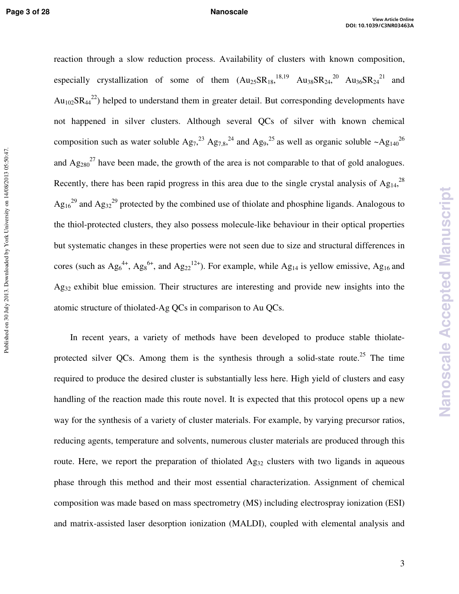Published on 30 July 2013. Downloaded by York University on 14/08/2013 05:50:47.

reaction through a slow reduction process. Availability of clusters with known composition, especially crystallization of some of them  $(Au_{25}SR_{18}^{18,19}$   $Au_{38}SR_{24}^{20}$   $Au_{36}SR_{24}^{21}$  and  $Au_{102}SR_{44}^{22}$ ) helped to understand them in greater detail. But corresponding developments have not happened in silver clusters. Although several QCs of silver with known chemical composition such as water soluble  $Ag_7^{23} Ag_{7,8}^{24}$  and  $Ag_9^{25}$  as well as organic soluble  $\sim Ag_{140}^{26}$ and  $Ag_{280}^2$  have been made, the growth of the area is not comparable to that of gold analogues. Recently, there has been rapid progress in this area due to the single crystal analysis of  $Ag_{14}$ <sup>28</sup>  $Ag_{16}^{29}$  and  $Ag_{32}^{29}$  protected by the combined use of thiolate and phosphine ligands. Analogous to the thiol-protected clusters, they also possess molecule-like behaviour in their optical properties but systematic changes in these properties were not seen due to size and structural differences in cores (such as  $Ag_6^{4+}$ ,  $Ag_8^{6+}$ , and  $Ag_{22}^{12+}$ ). For example, while Ag<sub>14</sub> is yellow emissive, Ag<sub>16</sub> and Ag<sub>32</sub> exhibit blue emission. Their structures are interesting and provide new insights into the atomic structure of thiolated-Ag QCs in comparison to Au QCs.

In recent years, a variety of methods have been developed to produce stable thiolateprotected silver QCs. Among them is the synthesis through a solid-state route.<sup>25</sup> The time required to produce the desired cluster is substantially less here. High yield of clusters and easy handling of the reaction made this route novel. It is expected that this protocol opens up a new way for the synthesis of a variety of cluster materials. For example, by varying precursor ratios, reducing agents, temperature and solvents, numerous cluster materials are produced through this route. Here, we report the preparation of thiolated Ag<sub>32</sub> clusters with two ligands in aqueous phase through this method and their most essential characterization. Assignment of chemical composition was made based on mass spectrometry (MS) including electrospray ionization (ESI) and matrix-assisted laser desorption ionization (MALDI), coupled with elemental analysis and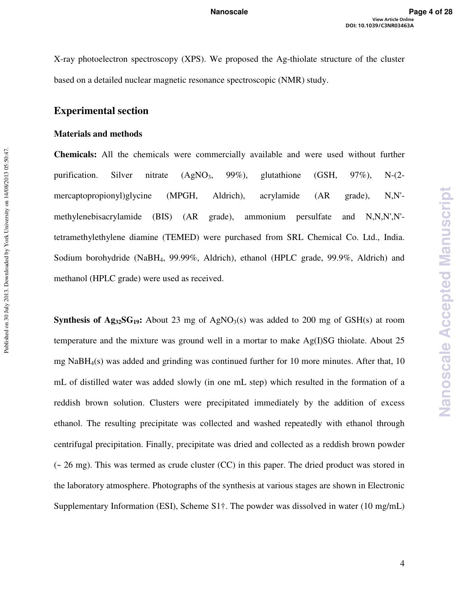X-ray photoelectron spectroscopy (XPS). We proposed the Ag-thiolate structure of the cluster based on a detailed nuclear magnetic resonance spectroscopic (NMR) study.

## **Experimental section**

## **Materials and methods**

Published on 30 July 2013. Downloaded by York University on 14/08/2013 05:50:47.

Published on 30 July 2013. Downloaded by York University on 14/08/2013 05:50:47.

**Chemicals:** All the chemicals were commercially available and were used without further purification. Silver nitrate  $(AgNO_3, 99\%)$ , glutathione  $(GSH, 97\%)$ , N- $(2$ mercaptopropionyl)glycine (MPGH, Aldrich), acrylamide (AR grade), N,N' methylenebisacrylamide (BIS) (AR grade), ammonium persulfate and N,N,N',N' tetramethylethylene diamine (TEMED) were purchased from SRL Chemical Co. Ltd., India. Sodium borohydride (NaBH4, 99.99%, Aldrich), ethanol (HPLC grade, 99.9%, Aldrich) and methanol (HPLC grade) were used as received.

**Synthesis of Ag<sub>32</sub>SG<sub>19</sub>:** About 23 mg of AgNO<sub>3</sub>(s) was added to 200 mg of GSH(s) at room temperature and the mixture was ground well in a mortar to make Ag(I)SG thiolate. About 25 mg  $NaBH<sub>4</sub>(s)$  was added and grinding was continued further for 10 more minutes. After that, 10 mL of distilled water was added slowly (in one mL step) which resulted in the formation of a reddish brown solution. Clusters were precipitated immediately by the addition of excess ethanol. The resulting precipitate was collected and washed repeatedly with ethanol through centrifugal precipitation. Finally, precipitate was dried and collected as a reddish brown powder  $\sim$  26 mg). This was termed as crude cluster (CC) in this paper. The dried product was stored in the laboratory atmosphere. Photographs of the synthesis at various stages are shown in Electronic Supplementary Information (ESI), Scheme S1†. The powder was dissolved in water (10 mg/mL)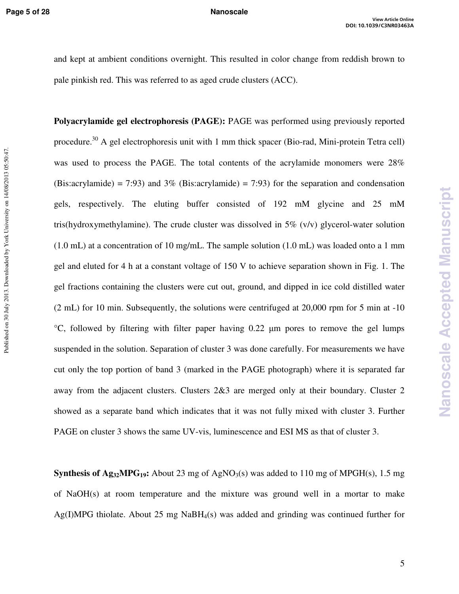Published on 30 July 2013. Downloaded by York University on 14/08/2013 05:50:47.

and kept at ambient conditions overnight. This resulted in color change from reddish brown to pale pinkish red. This was referred to as aged crude clusters (ACC).

**Polyacrylamide gel electrophoresis (PAGE):** PAGE was performed using previously reported procedure.<sup>30</sup> A gel electrophoresis unit with 1 mm thick spacer (Bio-rad, Mini-protein Tetra cell) was used to process the PAGE. The total contents of the acrylamide monomers were 28% (Bis:acrylamide) = 7:93) and 3% (Bis:acrylamide) = 7:93) for the separation and condensation gels, respectively. The eluting buffer consisted of 192 mM glycine and 25 mM tris(hydroxymethylamine). The crude cluster was dissolved in  $5\%$  (v/v) glycerol-water solution (1.0 mL) at a concentration of 10 mg/mL. The sample solution (1.0 mL) was loaded onto a 1 mm gel and eluted for 4 h at a constant voltage of 150 V to achieve separation shown in Fig. 1. The gel fractions containing the clusters were cut out, ground, and dipped in ice cold distilled water (2 mL) for 10 min. Subsequently, the solutions were centrifuged at 20,000 rpm for 5 min at -10  $^{\circ}$ C, followed by filtering with filter paper having 0.22  $\mu$ m pores to remove the gel lumps suspended in the solution. Separation of cluster 3 was done carefully. For measurements we have cut only the top portion of band 3 (marked in the PAGE photograph) where it is separated far away from the adjacent clusters. Clusters 2&3 are merged only at their boundary. Cluster 2 showed as a separate band which indicates that it was not fully mixed with cluster 3. Further PAGE on cluster 3 shows the same UV-vis, luminescence and ESI MS as that of cluster 3.

**Synthesis of Ag<sub>32</sub>MPG<sub>19</sub>:** About 23 mg of AgNO<sub>3</sub>(s) was added to 110 mg of MPGH(s), 1.5 mg of NaOH(s) at room temperature and the mixture was ground well in a mortar to make  $Ag(I)MPG$  thiolate. About 25 mg NaBH<sub>4</sub>(s) was added and grinding was continued further for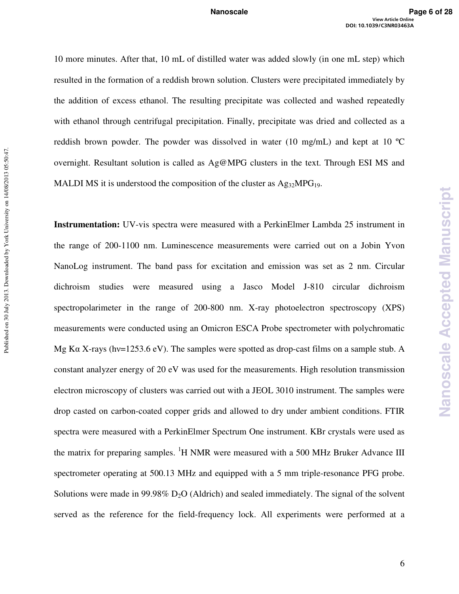10 more minutes. After that, 10 mL of distilled water was added slowly (in one mL step) which resulted in the formation of a reddish brown solution. Clusters were precipitated immediately by the addition of excess ethanol. The resulting precipitate was collected and washed repeatedly with ethanol through centrifugal precipitation. Finally, precipitate was dried and collected as a reddish brown powder. The powder was dissolved in water (10 mg/mL) and kept at 10 ºC overnight. Resultant solution is called as Ag@MPG clusters in the text. Through ESI MS and MALDI MS it is understood the composition of the cluster as  $Ag_{32}MPG_{19}$ .

**Instrumentation:** UV-vis spectra were measured with a PerkinElmer Lambda 25 instrument in the range of 200-1100 nm. Luminescence measurements were carried out on a Jobin Yvon NanoLog instrument. The band pass for excitation and emission was set as 2 nm. Circular dichroism studies were measured using a Jasco Model J-810 circular dichroism spectropolarimeter in the range of 200-800 nm. X-ray photoelectron spectroscopy (XPS) measurements were conducted using an Omicron ESCA Probe spectrometer with polychromatic Mg Ka X-rays (hv=1253.6 eV). The samples were spotted as drop-cast films on a sample stub. A constant analyzer energy of 20 eV was used for the measurements. High resolution transmission electron microscopy of clusters was carried out with a JEOL 3010 instrument. The samples were drop casted on carbon-coated copper grids and allowed to dry under ambient conditions. FTIR spectra were measured with a PerkinElmer Spectrum One instrument. KBr crystals were used as the matrix for preparing samples.  ${}^{1}H$  NMR were measured with a 500 MHz Bruker Advance III spectrometer operating at 500.13 MHz and equipped with a 5 mm triple-resonance PFG probe. Solutions were made in 99.98%  $D_2O$  (Aldrich) and sealed immediately. The signal of the solvent served as the reference for the field-frequency lock. All experiments were performed at a **Nanoscale Accepted Manuscript**

Nanoscale

**Accepted Manuscript**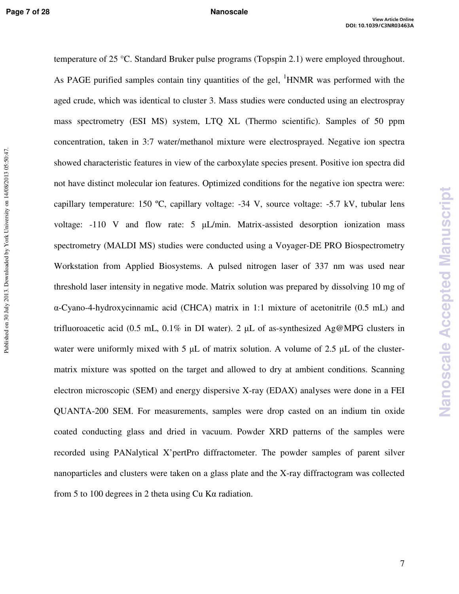temperature of 25 °C. Standard Bruker pulse programs (Topspin 2.1) were employed throughout. As PAGE purified samples contain tiny quantities of the gel,  ${}^{1}$ HNMR was performed with the aged crude, which was identical to cluster 3. Mass studies were conducted using an electrospray mass spectrometry (ESI MS) system, LTQ XL (Thermo scientific). Samples of 50 ppm concentration, taken in 3:7 water/methanol mixture were electrosprayed. Negative ion spectra showed characteristic features in view of the carboxylate species present. Positive ion spectra did not have distinct molecular ion features. Optimized conditions for the negative ion spectra were: capillary temperature: 150 ºC, capillary voltage: -34 V, source voltage: -5.7 kV, tubular lens voltage:  $-110$  V and flow rate:  $5 \mu L/min$ . Matrix-assisted desorption ionization mass spectrometry (MALDI MS) studies were conducted using a Voyager-DE PRO Biospectrometry Workstation from Applied Biosystems. A pulsed nitrogen laser of 337 nm was used near threshold laser intensity in negative mode. Matrix solution was prepared by dissolving 10 mg of α-Cyano-4-hydroxycinnamic acid (CHCA) matrix in 1:1 mixture of acetonitrile (0.5 mL) and trifluoroacetic acid (0.5 mL, 0.1% in DI water). 2  $\mu$ L of as-synthesized Ag@MPG clusters in water were uniformly mixed with 5  $\mu$ L of matrix solution. A volume of 2.5  $\mu$ L of the clustermatrix mixture was spotted on the target and allowed to dry at ambient conditions. Scanning electron microscopic (SEM) and energy dispersive X-ray (EDAX) analyses were done in a FEI QUANTA-200 SEM. For measurements, samples were drop casted on an indium tin oxide coated conducting glass and dried in vacuum. Powder XRD patterns of the samples were recorded using PANalytical X'pertPro diffractometer. The powder samples of parent silver nanoparticles and clusters were taken on a glass plate and the X-ray diffractogram was collected from 5 to 100 degrees in 2 theta using Cu Kα radiation.

**Nanoscale Accepted Manuscript**

Nanoscale

**Accepted Manuscript**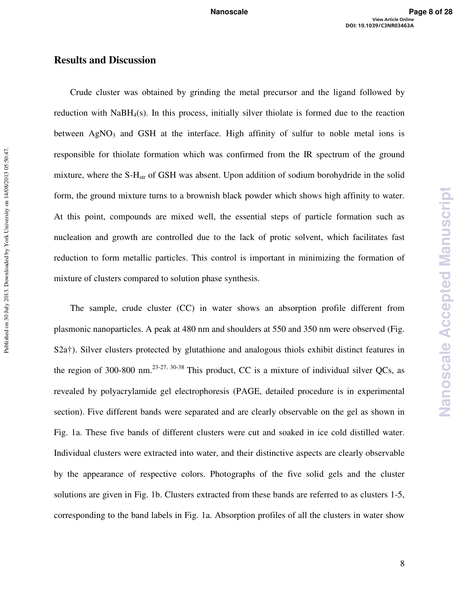### **Results and Discussion**

Published on 30 July 2013. Downloaded by York University on 14/08/2013 05:50:47.

Published on 30 July 2013. Downloaded by York University on 14/08/2013 05:50:47.

Crude cluster was obtained by grinding the metal precursor and the ligand followed by reduction with NaBH4(s). In this process, initially silver thiolate is formed due to the reaction between  $AgNO<sub>3</sub>$  and GSH at the interface. High affinity of sulfur to noble metal ions is responsible for thiolate formation which was confirmed from the IR spectrum of the ground mixture, where the S-H<sub>str</sub> of GSH was absent. Upon addition of sodium borohydride in the solid form, the ground mixture turns to a brownish black powder which shows high affinity to water. At this point, compounds are mixed well, the essential steps of particle formation such as nucleation and growth are controlled due to the lack of protic solvent, which facilitates fast reduction to form metallic particles. This control is important in minimizing the formation of mixture of clusters compared to solution phase synthesis.

The sample, crude cluster (CC) in water shows an absorption profile different from plasmonic nanoparticles. A peak at 480 nm and shoulders at 550 and 350 nm were observed (Fig. S2a†). Silver clusters protected by glutathione and analogous thiols exhibit distinct features in the region of 300-800 nm.<sup>23-27, 30-38</sup> This product, CC is a mixture of individual silver QCs, as revealed by polyacrylamide gel electrophoresis (PAGE, detailed procedure is in experimental section). Five different bands were separated and are clearly observable on the gel as shown in Fig. 1a. These five bands of different clusters were cut and soaked in ice cold distilled water. Individual clusters were extracted into water, and their distinctive aspects are clearly observable by the appearance of respective colors. Photographs of the five solid gels and the cluster solutions are given in Fig. 1b. Clusters extracted from these bands are referred to as clusters 1-5, corresponding to the band labels in Fig. 1a. Absorption profiles of all the clusters in water show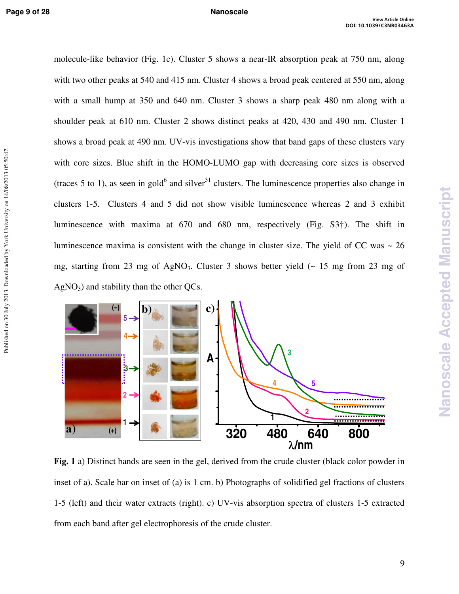Published on 30 July 2013. Downloaded by York University on 14/08/2013 05:50:47.

molecule-like behavior (Fig. 1c). Cluster 5 shows a near-IR absorption peak at 750 nm, along with two other peaks at 540 and 415 nm. Cluster 4 shows a broad peak centered at 550 nm, along with a small hump at 350 and 640 nm. Cluster 3 shows a sharp peak 480 nm along with a shoulder peak at 610 nm. Cluster 2 shows distinct peaks at 420, 430 and 490 nm. Cluster 1 shows a broad peak at 490 nm. UV-vis investigations show that band gaps of these clusters vary with core sizes. Blue shift in the HOMO-LUMO gap with decreasing core sizes is observed (traces 5 to 1), as seen in gold<sup>6</sup> and silver<sup>31</sup> clusters. The luminescence properties also change in clusters 1-5. Clusters 4 and 5 did not show visible luminescence whereas 2 and 3 exhibit luminescence with maxima at 670 and 680 nm, respectively (Fig. S3†). The shift in luminescence maxima is consistent with the change in cluster size. The yield of CC was  $\sim 26$ mg, starting from 23 mg of AgNO<sub>3</sub>. Cluster 3 shows better yield  $\sim$  15 mg from 23 mg of  $AgNO<sub>3</sub>$ ) and stability than the other QCs.



**Fig. 1** a) Distinct bands are seen in the gel, derived from the crude cluster (black color powder in inset of a). Scale bar on inset of (a) is 1 cm. b) Photographs of solidified gel fractions of clusters 1-5 (left) and their water extracts (right). c) UV-vis absorption spectra of clusters 1-5 extracted from each band after gel electrophoresis of the crude cluster.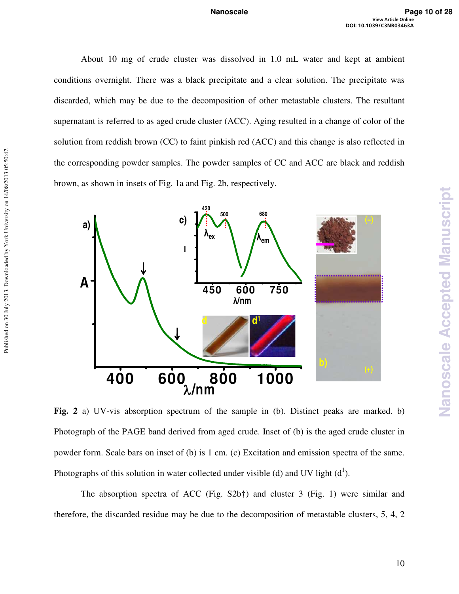About 10 mg of crude cluster was dissolved in 1.0 mL water and kept at ambient conditions overnight. There was a black precipitate and a clear solution. The precipitate was discarded, which may be due to the decomposition of other metastable clusters. The resultant supernatant is referred to as aged crude cluster (ACC). Aging resulted in a change of color of the solution from reddish brown (CC) to faint pinkish red (ACC) and this change is also reflected in the corresponding powder samples. The powder samples of CC and ACC are black and reddish brown, as shown in insets of Fig. 1a and Fig. 2b, respectively.



Published on 30 July 2013. Downloaded by York University on 14/08/2013 05:50:47.

Published on 30 July 2013. Downloaded by York University on 14/08/2013 05:50:47.

**Fig. 2** a) UV-vis absorption spectrum of the sample in (b). Distinct peaks are marked. b) Photograph of the PAGE band derived from aged crude. Inset of (b) is the aged crude cluster in powder form. Scale bars on inset of (b) is 1 cm. (c) Excitation and emission spectra of the same. Photographs of this solution in water collected under visible (d) and UV light  $(d<sup>1</sup>)$ .

The absorption spectra of ACC (Fig. S2b†) and cluster 3 (Fig. 1) were similar and therefore, the discarded residue may be due to the decomposition of metastable clusters, 5, 4, 2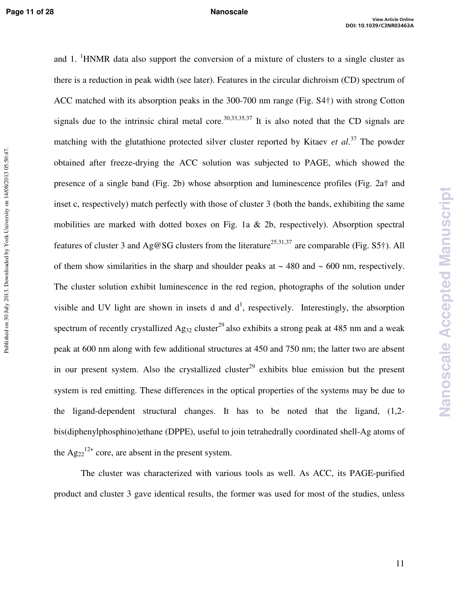and 1. <sup>1</sup>HNMR data also support the conversion of a mixture of clusters to a single cluster as there is a reduction in peak width (see later). Features in the circular dichroism (CD) spectrum of ACC matched with its absorption peaks in the 300-700 nm range (Fig. S4†) with strong Cotton signals due to the intrinsic chiral metal core.<sup>30,33,35,37</sup> It is also noted that the CD signals are matching with the glutathione protected silver cluster reported by Kitaev *et al*. <sup>37</sup> The powder obtained after freeze-drying the ACC solution was subjected to PAGE, which showed the presence of a single band (Fig. 2b) whose absorption and luminescence profiles (Fig. 2a† and inset c, respectively) match perfectly with those of cluster 3 (both the bands, exhibiting the same mobilities are marked with dotted boxes on Fig. 1a & 2b, respectively). Absorption spectral features of cluster 3 and Ag@SG clusters from the literature<sup>25,31,37</sup> are comparable (Fig. S5<sup>†</sup>). All of them show similarities in the sharp and shoulder peaks at  $\sim$  480 and  $\sim$  600 nm, respectively. The cluster solution exhibit luminescence in the red region, photographs of the solution under visible and UV light are shown in insets d and  $d^1$ , respectively. Interestingly, the absorption spectrum of recently crystallized Ag<sub>32</sub> cluster<sup>29</sup> also exhibits a strong peak at 485 nm and a weak peak at 600 nm along with few additional structures at 450 and 750 nm; the latter two are absent in our present system. Also the crystallized cluster<sup>29</sup> exhibits blue emission but the present system is red emitting. These differences in the optical properties of the systems may be due to the ligand-dependent structural changes. It has to be noted that the ligand, (1,2 bis(diphenylphosphino)ethane (DPPE), useful to join tetrahedrally coordinated shell-Ag atoms of the  $Ag_{22}^{12+}$  core, are absent in the present system.

The cluster was characterized with various tools as well. As ACC, its PAGE-purified product and cluster 3 gave identical results, the former was used for most of the studies, unless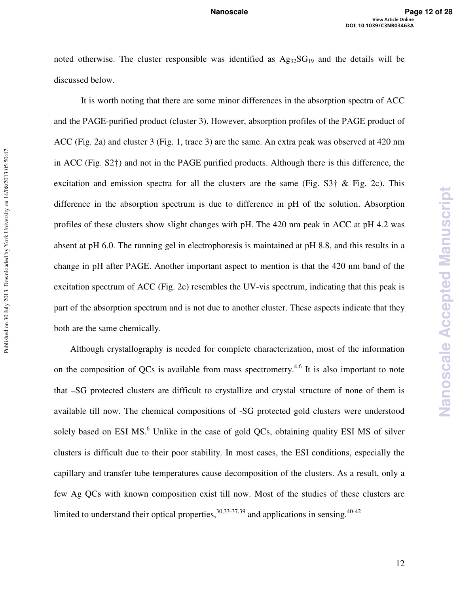noted otherwise. The cluster responsible was identified as  $Ag_{32}SG_{19}$  and the details will be discussed below.

It is worth noting that there are some minor differences in the absorption spectra of ACC and the PAGE-purified product (cluster 3). However, absorption profiles of the PAGE product of ACC (Fig. 2a) and cluster 3 (Fig. 1, trace 3) are the same. An extra peak was observed at 420 nm in ACC (Fig. S2†) and not in the PAGE purified products. Although there is this difference, the excitation and emission spectra for all the clusters are the same (Fig.  $S3\dagger \&$  Fig. 2c). This difference in the absorption spectrum is due to difference in pH of the solution. Absorption profiles of these clusters show slight changes with pH. The 420 nm peak in ACC at pH 4.2 was absent at pH 6.0. The running gel in electrophoresis is maintained at pH 8.8, and this results in a change in pH after PAGE. Another important aspect to mention is that the 420 nm band of the excitation spectrum of ACC (Fig. 2c) resembles the UV-vis spectrum, indicating that this peak is part of the absorption spectrum and is not due to another cluster. These aspects indicate that they both are the same chemically.

Published on 30 July 2013. Downloaded by York University on 14/08/2013 05:50:47.

Published on 30 July 2013. Downloaded by York University on 14/08/2013 05:50:47.

Although crystallography is needed for complete characterization, most of the information on the composition of QCs is available from mass spectrometry.<sup>4,6</sup> It is also important to note that –SG protected clusters are difficult to crystallize and crystal structure of none of them is available till now. The chemical compositions of -SG protected gold clusters were understood solely based on ESI MS.<sup>6</sup> Unlike in the case of gold QCs, obtaining quality ESI MS of silver clusters is difficult due to their poor stability. In most cases, the ESI conditions, especially the capillary and transfer tube temperatures cause decomposition of the clusters. As a result, only a few Ag QCs with known composition exist till now. Most of the studies of these clusters are limited to understand their optical properties,  $30,33-37,39$  and applications in sensing.  $40-42$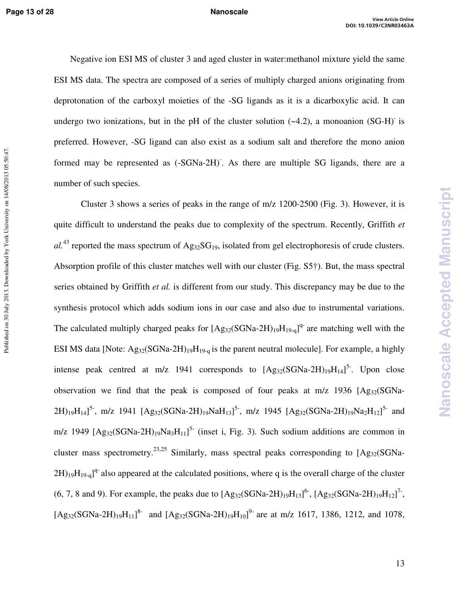Published on 30 July 2013. Downloaded by York University on 14/08/2013 05:50:47.

Negative ion ESI MS of cluster 3 and aged cluster in water:methanol mixture yield the same ESI MS data. The spectra are composed of a series of multiply charged anions originating from deprotonation of the carboxyl moieties of the -SG ligands as it is a dicarboxylic acid. It can undergo two ionizations, but in the pH of the cluster solution  $(-4.2)$ , a monoanion  $(SG-H)^{-}$  is preferred. However, -SG ligand can also exist as a sodium salt and therefore the mono anion formed may be represented as  $(-SGNa-2H)$ . As there are multiple SG ligands, there are a number of such species.

Cluster 3 shows a series of peaks in the range of m/z 1200-2500 (Fig. 3). However, it is quite difficult to understand the peaks due to complexity of the spectrum. Recently, Griffith *et*   $al^{43}$  reported the mass spectrum of  $Ag_{32}SG_{19}$ , isolated from gel electrophoresis of crude clusters. Absorption profile of this cluster matches well with our cluster (Fig. S5†). But, the mass spectral series obtained by Griffith *et al.* is different from our study. This discrepancy may be due to the synthesis protocol which adds sodium ions in our case and also due to instrumental variations. The calculated multiply charged peaks for  $[Ag_{32}(SGNa-2H)_{19}H_{19-q}]^{q}$  are matching well with the ESI MS data [Note: Ag<sub>32</sub>(SGNa-2H)<sub>19</sub>H<sub>19-q</sub> is the parent neutral molecule]. For example, a highly intense peak centred at m/z 1941 corresponds to  $[Ag_{32}(SGNa-2H)_{19}H_{14}]^{5}$ . Upon close observation we find that the peak is composed of four peaks at  $m/z$  1936  $[Ag_{32}(SGNa 2H)_{19}H_{14}$ ]<sup>5-</sup>, m/z 1941 [Ag<sub>32</sub>(SGNa-2H)<sub>19</sub>NaH<sub>13</sub>]<sup>5-</sup>, m/z 1945 [Ag<sub>32</sub>(SGNa-2H)<sub>19</sub>Na<sub>2</sub>H<sub>12</sub>]<sup>5-</sup> and m/z 1949  $[Ag_{32}(SGNa-2H)_{19}Na_3H_{11}]$ <sup>5-</sup> (inset i, Fig. 3). Such sodium additions are common in cluster mass spectrometry.<sup>23,25</sup> Similarly, mass spectral peaks corresponding to  $[Ag_{32}(SGNa 2H_{19}H_{19-q}$ <sup>q-</sup> also appeared at the calculated positions, where q is the overall charge of the cluster (6, 7, 8 and 9). For example, the peaks due to  $[Ag_{32}(SGNa-2H)_{19}H_{13}]^6$ ,  $[Ag_{32}(SGNa-2H)_{19}H_{12}]^7$ ,  $[Ag_{32}(SGNa-2H)_{19}H_{11}]$ <sup>8-</sup> and  $[Ag_{32}(SGNa-2H)_{19}H_{10}]$ <sup>9-</sup> are at m/z 1617, 1386, 1212, and 1078,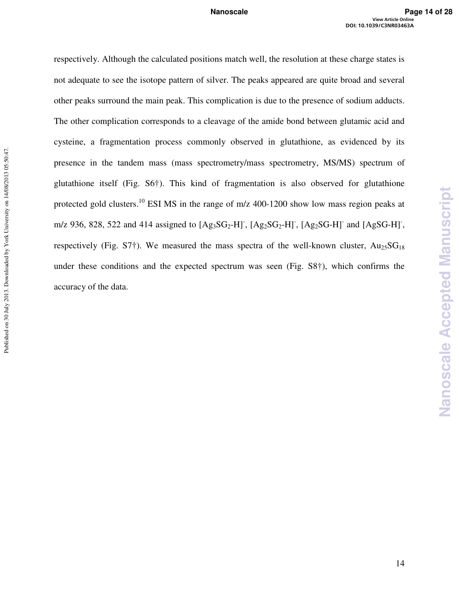respectively. Although the calculated positions match well, the resolution at these charge states is not adequate to see the isotope pattern of silver. The peaks appeared are quite broad and several other peaks surround the main peak. This complication is due to the presence of sodium adducts. The other complication corresponds to a cleavage of the amide bond between glutamic acid and cysteine, a fragmentation process commonly observed in glutathione, as evidenced by its presence in the tandem mass (mass spectrometry/mass spectrometry, MS/MS) spectrum of glutathione itself (Fig. S6†). This kind of fragmentation is also observed for glutathione protected gold clusters.<sup>10</sup> ESI MS in the range of m/z 400-1200 show low mass region peaks at m/z 936, 828, 522 and 414 assigned to  $[Ag_3SG_2-H]$ ,  $[Ag_2SG_2-H]$ ,  $[Ag_2SG-H]$  and  $[AgSG-H]$ , respectively (Fig. S7†). We measured the mass spectra of the well-known cluster,  $Au_{25}SG_{18}$ under these conditions and the expected spectrum was seen (Fig. S8†), which confirms the accuracy of the data.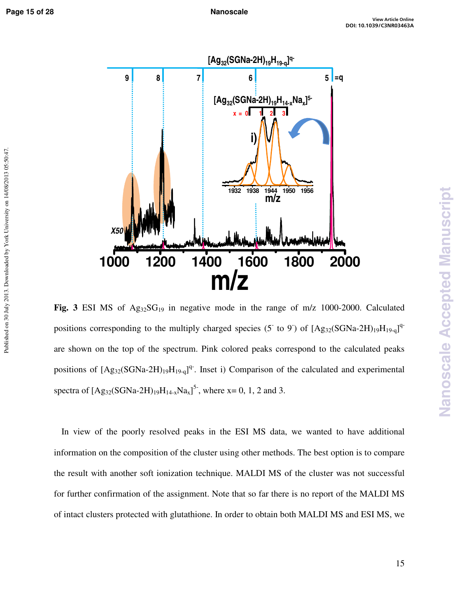Published on 30 July 2013. Downloaded by York University on 14/08/2013 05:50:47.



Fig. 3 ESI MS of  $Ag_{32}SG_{19}$  in negative mode in the range of m/z 1000-2000. Calculated positions corresponding to the multiply charged species (5 to 9) of  $[Ag_{32}(SGNa-2H)_{19}H_{19-q}]^{q}$ are shown on the top of the spectrum. Pink colored peaks correspond to the calculated peaks positions of  $[Ag_{32}(SGNa-2H)_{19}H_{19-q}]^{q}$ . Inset i) Comparison of the calculated and experimental spectra of  $[Ag_{32}(SGNa-2H)_{19}H_{14-x}Na_{x}]^{5}$ , where x= 0, 1, 2 and 3.

In view of the poorly resolved peaks in the ESI MS data, we wanted to have additional information on the composition of the cluster using other methods. The best option is to compare the result with another soft ionization technique. MALDI MS of the cluster was not successful for further confirmation of the assignment. Note that so far there is no report of the MALDI MS of intact clusters protected with glutathione. In order to obtain both MALDI MS and ESI MS, we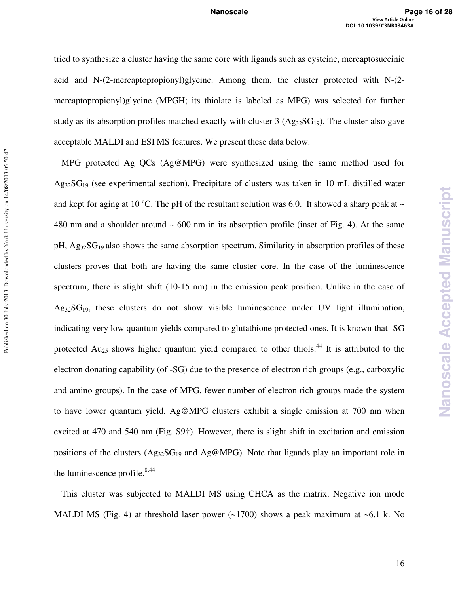tried to synthesize a cluster having the same core with ligands such as cysteine, mercaptosuccinic acid and N-(2-mercaptopropionyl)glycine. Among them, the cluster protected with N-(2 mercaptopropionyl)glycine (MPGH; its thiolate is labeled as MPG) was selected for further study as its absorption profiles matched exactly with cluster 3 ( $Ag<sub>32</sub>SG<sub>19</sub>$ ). The cluster also gave acceptable MALDI and ESI MS features. We present these data below.

MPG protected Ag QCs (Ag@MPG) were synthesized using the same method used for  $Ag_{32}SG_{19}$  (see experimental section). Precipitate of clusters was taken in 10 mL distilled water and kept for aging at 10 °C. The pH of the resultant solution was 6.0. It showed a sharp peak at  $\sim$ 480 nm and a shoulder around  $\sim 600$  nm in its absorption profile (inset of Fig. 4). At the same  $pH$ , Ag<sub>32</sub>SG<sub>19</sub> also shows the same absorption spectrum. Similarity in absorption profiles of these clusters proves that both are having the same cluster core. In the case of the luminescence spectrum, there is slight shift (10-15 nm) in the emission peak position. Unlike in the case of  $Ag_{32}SG_{19}$ , these clusters do not show visible luminescence under UV light illumination, indicating very low quantum yields compared to glutathione protected ones. It is known that -SG protected  $Au_{25}$  shows higher quantum yield compared to other thiols.<sup>44</sup> It is attributed to the electron donating capability (of -SG) due to the presence of electron rich groups (e.g., carboxylic and amino groups). In the case of MPG, fewer number of electron rich groups made the system to have lower quantum yield. Ag@MPG clusters exhibit a single emission at 700 nm when excited at 470 and 540 nm (Fig. S9†). However, there is slight shift in excitation and emission positions of the clusters  $(Ag_{32}SG_{19}$  and  $Ag@MPG$ ). Note that ligands play an important role in the luminescence profile. $8,44$ 

Published on 30 July 2013. Downloaded by York University on 14/08/2013 05:50:47.

Published on 30 July 2013. Downloaded by York University on 14/08/2013 05:50:47.

This cluster was subjected to MALDI MS using CHCA as the matrix. Negative ion mode MALDI MS (Fig. 4) at threshold laser power  $(-1700)$  shows a peak maximum at  $-6.1$  k. No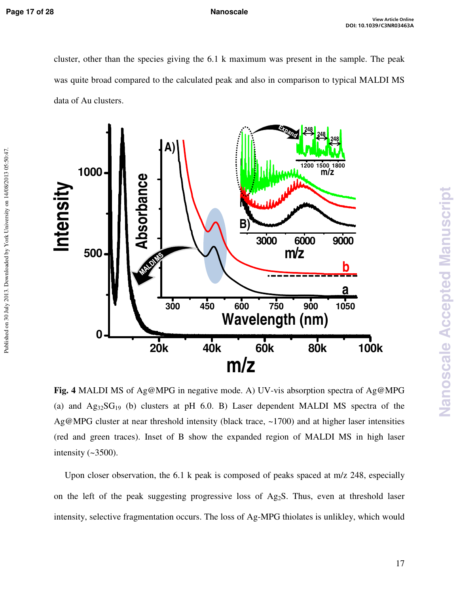Published on 30 July 2013. Downloaded by York University on 14/08/2013 05:50:47.

cluster, other than the species giving the 6.1 k maximum was present in the sample. The peak was quite broad compared to the calculated peak and also in comparison to typical MALDI MS data of Au clusters.



**Fig. 4** MALDI MS of Ag@MPG in negative mode. A) UV-vis absorption spectra of Ag@MPG (a) and  $Ag_{32}SG_{19}$  (b) clusters at pH 6.0. B) Laser dependent MALDI MS spectra of the Ag@MPG cluster at near threshold intensity (black trace, ~1700) and at higher laser intensities (red and green traces). Inset of B show the expanded region of MALDI MS in high laser intensity  $(-3500)$ .

Upon closer observation, the 6.1 k peak is composed of peaks spaced at m/z 248, especially on the left of the peak suggesting progressive loss of Ag<sub>2</sub>S. Thus, even at threshold laser intensity, selective fragmentation occurs. The loss of Ag-MPG thiolates is unlikley, which would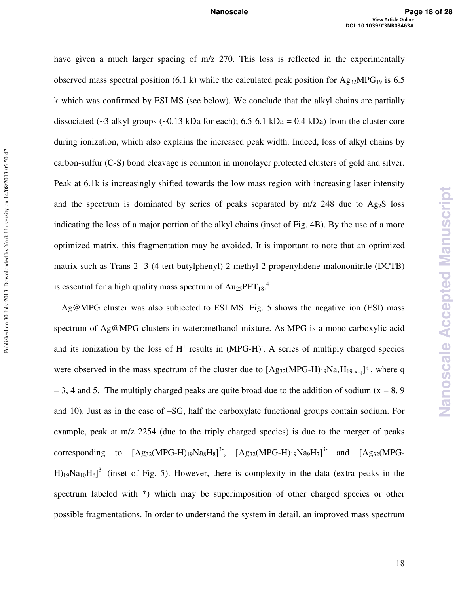Published on 30 July 2013. Downloaded by York University on 14/08/2013 05:50:47. Published on 30 July 2013. Downloaded by York University on 14/08/2013 05:50:47.

have given a much larger spacing of m/z 270. This loss is reflected in the experimentally observed mass spectral position (6.1 k) while the calculated peak position for Ag<sub>32</sub>MPG<sub>19</sub> is 6.5 k which was confirmed by ESI MS (see below). We conclude that the alkyl chains are partially dissociated (~3 alkyl groups (~0.13 kDa for each); 6.5-6.1 kDa = 0.4 kDa) from the cluster core during ionization, which also explains the increased peak width. Indeed, loss of alkyl chains by carbon-sulfur (C-S) bond cleavage is common in monolayer protected clusters of gold and silver. Peak at 6.1k is increasingly shifted towards the low mass region with increasing laser intensity and the spectrum is dominated by series of peaks separated by  $m/z$  248 due to Ag<sub>2</sub>S loss indicating the loss of a major portion of the alkyl chains (inset of Fig. 4B). By the use of a more optimized matrix, this fragmentation may be avoided. It is important to note that an optimized matrix such as Trans-2-[3-(4-tert-butylphenyl)-2-methyl-2-propenylidene]malononitrile (DCTB) is essential for a high quality mass spectrum of  $Au_{25}PET_{18}$ <sup>4</sup>

Ag@MPG cluster was also subjected to ESI MS. Fig. 5 shows the negative ion (ESI) mass spectrum of Ag@MPG clusters in water:methanol mixture. As MPG is a mono carboxylic acid and its ionization by the loss of  $H^+$  results in (MPG-H). A series of multiply charged species were observed in the mass spectrum of the cluster due to  $[Ag_{32}(MPG-H)_{19}Na_{x}H_{19-x-q}]^{q}$ , where q  $= 3$ , 4 and 5. The multiply charged peaks are quite broad due to the addition of sodium (x = 8, 9) and 10). Just as in the case of –SG, half the carboxylate functional groups contain sodium. For example, peak at m/z 2254 (due to the triply charged species) is due to the merger of peaks corresponding to  $[Ag_{32}(MPG-H)_{19}Na_8H_8]^3$ ,  $[Ag_{32}(MPG-H)_{19}Na_9H_7]^3$  and  $[Ag_{32}(MPG-H)_{19}Na_9H_9]^3$  $H_{19}Na_{10}H_{6}$ <sup>3-</sup> (inset of Fig. 5). However, there is complexity in the data (extra peaks in the spectrum labeled with \*) which may be superimposition of other charged species or other possible fragmentations. In order to understand the system in detail, an improved mass spectrum

**Nanoscale Accepted Manuscript**

**Nanoscale Accepted Manuscript**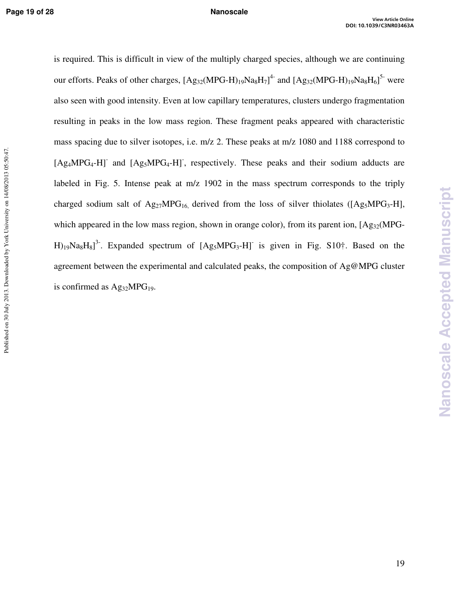is required. This is difficult in view of the multiply charged species, although we are continuing our efforts. Peaks of other charges,  $[Ag_{32}(MPG-H)_{19}Na_8H_7]^4$  and  $[Ag_{32}(MPG-H)_{19}Na_8H_6]^5$  were also seen with good intensity. Even at low capillary temperatures, clusters undergo fragmentation resulting in peaks in the low mass region. These fragment peaks appeared with characteristic mass spacing due to silver isotopes, i.e. m/z 2. These peaks at m/z 1080 and 1188 correspond to [Ag<sub>4</sub>MPG<sub>4</sub>-H]<sup>-</sup> and [Ag<sub>5</sub>MPG<sub>4</sub>-H]<sup>-</sup>, respectively. These peaks and their sodium adducts are labeled in Fig. 5. Intense peak at m/z 1902 in the mass spectrum corresponds to the triply charged sodium salt of  $Ag_{27}MPG_{16}$ , derived from the loss of silver thiolates ([Ag<sub>5</sub>MPG<sub>3</sub>-H], which appeared in the low mass region, shown in orange color), from its parent ion,  $[Ag_{32}(MPG H_{19}Na_8H_8]^3$ . Expanded spectrum of  $[Ag_5MPG_3-H]$  is given in Fig. S10<sup>+</sup>. Based on the agreement between the experimental and calculated peaks, the composition of Ag@MPG cluster is confirmed as  $Ag_{32}MPG_{19}$ .

**Nanoscale Accepted Manuscript**

**Vanoscale Accepted Manuscript**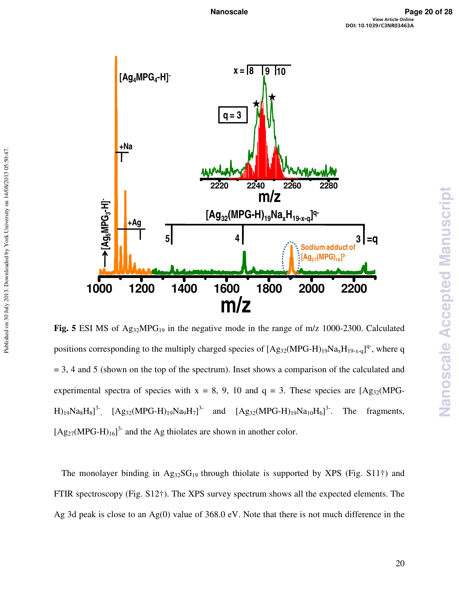

Fig. 5 ESI MS of Ag<sub>32</sub>MPG<sub>19</sub> in the negative mode in the range of m/z 1000-2300. Calculated positions corresponding to the multiply charged species of  $[Ag_{32}(MPG-H)_{19}Na_xH_{19-x-q}]^q$ , where q  $= 3$ , 4 and 5 (shown on the top of the spectrum). Inset shows a comparison of the calculated and experimental spectra of species with  $x = 8$ , 9, 10 and  $q = 3$ . These species are  $[Ag_{32}(MPG H)_{19}Na_8H_8J^3$ ,  $[Ag_{32}(MPG-H)_{19}Na_9H_7]^{3-}$  and  $[Ag_{32}(MPG-H)_{19}Na_{10}H_6]^{3-}$ . The fragments,  $[Ag_{27}(MPG-H)_{16}]^3$  and the Ag thiolates are shown in another color.

The monolayer binding in  $Ag_{32}SG_{19}$  through thiolate is supported by XPS (Fig. S11<sup>†</sup>) and FTIR spectroscopy (Fig. S12†). The XPS survey spectrum shows all the expected elements. The Ag 3d peak is close to an Ag(0) value of 368.0 eV. Note that there is not much difference in the **Nanoscale Accepted Manuscript**

**Vanoscale Accepted Manuscript**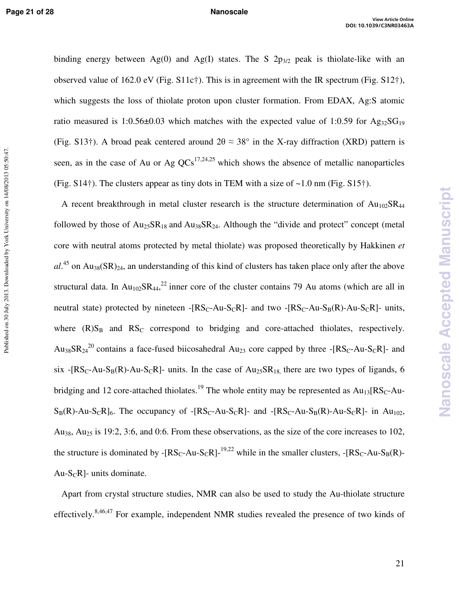Published on 30 July 2013. Downloaded by York University on 14/08/2013 05:50:47.

binding energy between Ag(0) and Ag(I) states. The S  $2p_{3/2}$  peak is thiolate-like with an observed value of 162.0 eV (Fig.  $S11c\dagger$ ). This is in agreement with the IR spectrum (Fig.  $S12\dagger$ ), which suggests the loss of thiolate proton upon cluster formation. From EDAX, Ag:S atomic ratio measured is 1:0.56 $\pm$ 0.03 which matches with the expected value of 1:0.59 for Ag<sub>32</sub>SG<sub>19</sub> (Fig. S13†). A broad peak centered around  $2\theta \approx 38^\circ$  in the X-ray diffraction (XRD) pattern is seen, as in the case of Au or Ag  $QCs^{17,24,25}$  which shows the absence of metallic nanoparticles (Fig.  $S14\dagger$ ). The clusters appear as tiny dots in TEM with a size of  $\sim 1.0$  nm (Fig.  $S15\dagger$ ).

A recent breakthrough in metal cluster research is the structure determination of  $Au_{102}SR_{44}$ followed by those of  $Au_{25}SR_{18}$  and  $Au_{38}SR_{24}$ . Although the "divide and protect" concept (metal core with neutral atoms protected by metal thiolate) was proposed theoretically by Hakkinen *et*   $al^{45}$  on Au<sub>38</sub>(SR)<sub>24</sub>, an understanding of this kind of clusters has taken place only after the above structural data. In  $Au_{102}SR_{44}$ <sup>22</sup> inner core of the cluster contains 79 Au atoms (which are all in neutral state) protected by nineteen  $- [RS_C-Au-S_CR]$ - and two  $-[RS_C-Au-S_B(R)-Au-S_CR]$ - units, where  $(R)S_B$  and  $RS_C$  correspond to bridging and core-attached thiolates, respectively. Au<sub>38</sub>SR<sub>24</sub><sup>20</sup> contains a face-fused biicosahedral Au<sub>23</sub> core capped by three -[RS<sub>C</sub>-Au-S<sub>C</sub>R]- and six -[RS<sub>C</sub>-Au-S<sub>B</sub>(R)-Au-S<sub>C</sub>R]- units. In the case of Au<sub>25</sub>SR<sub>18</sub> there are two types of ligands, 6 bridging and 12 core-attached thiolates.<sup>19</sup> The whole entity may be represented as  $Au_{13}[RS_C-Au S_B(R)$ -Au-ScR]<sub>6</sub>. The occupancy of -[RS<sub>C</sub>-Au-S<sub>C</sub>R]- and -[RS<sub>C</sub>-Au-S<sub>B</sub>(R)-Au-ScR]- in Au<sub>102</sub>, Au38, Au25 is 19:2, 3:6, and 0:6. From these observations, as the size of the core increases to 102, the structure is dominated by  $-[RS_C-Au-S_CR]^{-19,22}$  while in the smaller clusters,  $-[RS_C-Au-S_B(R)-R_1]$ Au-S<sub>C</sub>R]- units dominate.

Apart from crystal structure studies, NMR can also be used to study the Au-thiolate structure effectively.8,46,47 For example, independent NMR studies revealed the presence of two kinds of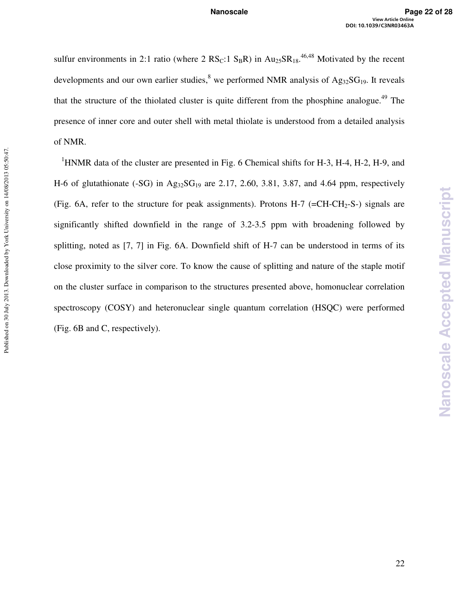sulfur environments in 2:1 ratio (where 2  $RS_C$ :1  $S_B$ R) in  $Au_{25}SR_{18}$ .<sup>46,48</sup> Motivated by the recent developments and our own earlier studies, <sup>8</sup> we performed NMR analysis of  $Ag_{32}SG_{19}$ . It reveals that the structure of the thiolated cluster is quite different from the phosphine analogue.<sup>49</sup> The presence of inner core and outer shell with metal thiolate is understood from a detailed analysis of NMR.

<sup>1</sup>HNMR data of the cluster are presented in Fig. 6 Chemical shifts for H-3, H-4, H-2, H-9, and H-6 of glutathionate (-SG) in  $Ag_{32}SG_{19}$  are 2.17, 2.60, 3.81, 3.87, and 4.64 ppm, respectively (Fig. 6A, refer to the structure for peak assignments). Protons  $H-7$  (=CH-CH<sub>2</sub>-S-) signals are significantly shifted downfield in the range of 3.2-3.5 ppm with broadening followed by splitting, noted as [7, 7] in Fig. 6A. Downfield shift of H-7 can be understood in terms of its close proximity to the silver core. To know the cause of splitting and nature of the staple motif on the cluster surface in comparison to the structures presented above, homonuclear correlation spectroscopy (COSY) and heteronuclear single quantum correlation (HSQC) were performed (Fig. 6B and C, respectively).

Published on 30 July 2013. Downloaded by York University on 14/08/2013 05:50:47.

Published on 30 July 2013. Downloaded by York University on 14/08/2013 05:50:47.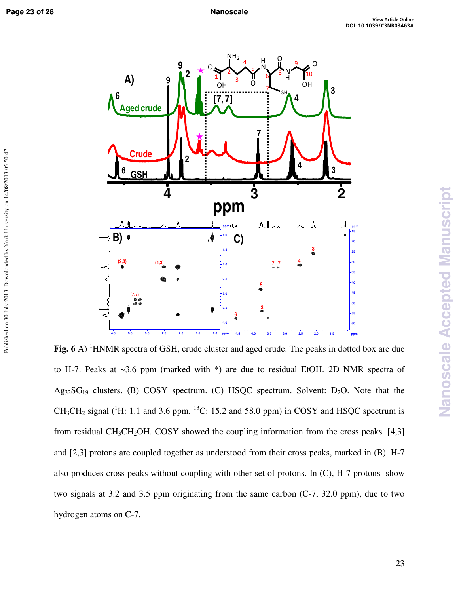Published on 30 July 2013. Downloaded by York University on 14/08/2013 05:50:47.



Fig. 6 A) <sup>1</sup>HNMR spectra of GSH, crude cluster and aged crude. The peaks in dotted box are due to H-7. Peaks at ~3.6 ppm (marked with \*) are due to residual EtOH. 2D NMR spectra of  $Ag_{32}SG_{19}$  clusters. (B) COSY spectrum. (C) HSQC spectrum. Solvent: D<sub>2</sub>O. Note that the CH<sub>3</sub>CH<sub>2</sub> signal (<sup>1</sup>H: 1.1 and 3.6 ppm, <sup>13</sup>C: 15.2 and 58.0 ppm) in COSY and HSQC spectrum is from residual CH<sub>3</sub>CH<sub>2</sub>OH. COSY showed the coupling information from the cross peaks. [4,3] and [2,3] protons are coupled together as understood from their cross peaks, marked in (B). H-7 also produces cross peaks without coupling with other set of protons. In (C), H-7 protons show two signals at 3.2 and 3.5 ppm originating from the same carbon (C-7, 32.0 ppm), due to two hydrogen atoms on C-7.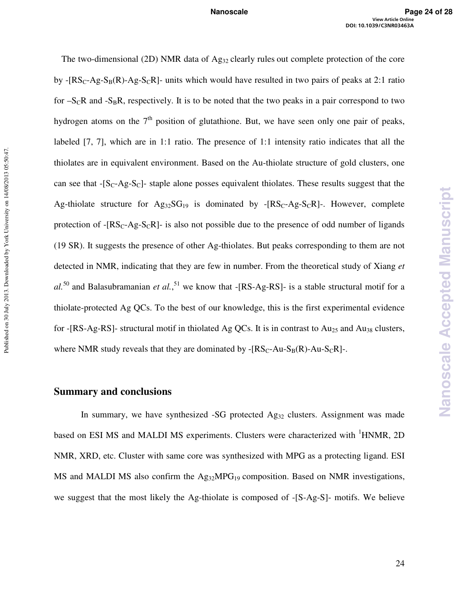The two-dimensional (2D) NMR data of Ag<sub>32</sub> clearly rules out complete protection of the core by  $- [RS_C-Ag-S_B(R)-Ag-S_CR]$ - units which would have resulted in two pairs of peaks at 2:1 ratio for  $-S_{\rm C}R$  and  $-S_{\rm B}R$ , respectively. It is to be noted that the two peaks in a pair correspond to two hydrogen atoms on the  $7<sup>th</sup>$  position of glutathione. But, we have seen only one pair of peaks, labeled [7, 7], which are in 1:1 ratio. The presence of 1:1 intensity ratio indicates that all the thiolates are in equivalent environment. Based on the Au-thiolate structure of gold clusters, one can see that  $-S<sub>C</sub>-Ag-S<sub>C</sub>$  staple alone posses equivalent thiolates. These results suggest that the Ag-thiolate structure for  $Ag_{32}SG_{19}$  is dominated by -[RS<sub>C</sub>-Ag-S<sub>C</sub>R]-. However, complete protection of  $- [RS_C-Ag-S_CR]$ - is also not possible due to the presence of odd number of ligands (19 SR). It suggests the presence of other Ag-thiolates. But peaks corresponding to them are not detected in NMR, indicating that they are few in number. From the theoretical study of Xiang *et*   $al.^{50}$  and Balasubramanian *et al.*,<sup>51</sup> we know that -[RS-Ag-RS]- is a stable structural motif for a thiolate-protected Ag QCs. To the best of our knowledge, this is the first experimental evidence for -[RS-Ag-RS]- structural motif in thiolated Ag QCs. It is in contrast to  $Au_{25}$  and  $Au_{38}$  clusters, where NMR study reveals that they are dominated by  $-[RS_C-Au-S_B(R)-Au-S_CR]-$ .

### **Summary and conclusions**

In summary, we have synthesized -SG protected Ag<sub>32</sub> clusters. Assignment was made based on ESI MS and MALDI MS experiments. Clusters were characterized with <sup>1</sup>HNMR, 2D NMR, XRD, etc. Cluster with same core was synthesized with MPG as a protecting ligand. ESI MS and MALDI MS also confirm the Ag<sub>32</sub>MPG<sub>19</sub> composition. Based on NMR investigations, we suggest that the most likely the Ag-thiolate is composed of -[S-Ag-S]- motifs. We believe **Nanoscale Accepted Manuscript**

**Nanoscale Accepted Manuscript**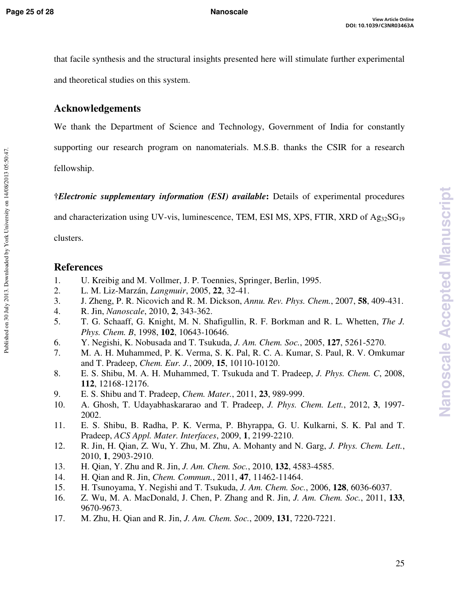that facile synthesis and the structural insights presented here will stimulate further experimental and theoretical studies on this system.

## **Acknowledgements**

We thank the Department of Science and Technology, Government of India for constantly supporting our research program on nanomaterials. M.S.B. thanks the CSIR for a research fellowship.

**†***Electronic supplementary information (ESI) available***:** Details of experimental procedures and characterization using UV-vis, luminescence, TEM, ESI MS, XPS, FTIR, XRD of  $Ag_{32}SG_{19}$ 

clusters.

Published on 30 July 2013. Downloaded by York University on 14/08/2013 05:50:47.

Published on 30 July 2013. Downloaded by York University on 14/08/2013 05:50:47.

## **References**

- 1. U. Kreibig and M. Vollmer, J. P. Toennies, Springer, Berlin, 1995.
- 2. L. M. Liz-Marzán, *Langmuir*, 2005, **22**, 32-41.
- 3. J. Zheng, P. R. Nicovich and R. M. Dickson, *Annu. Rev. Phys. Chem.*, 2007, **58**, 409-431.
- 4. R. Jin, *Nanoscale*, 2010, **2**, 343-362.
- 5. T. G. Schaaff, G. Knight, M. N. Shafigullin, R. F. Borkman and R. L. Whetten, *The J. Phys. Chem. B*, 1998, **102**, 10643-10646.
- 6. Y. Negishi, K. Nobusada and T. Tsukuda, *J. Am. Chem. Soc.*, 2005, **127**, 5261-5270.
- 7. M. A. H. Muhammed, P. K. Verma, S. K. Pal, R. C. A. Kumar, S. Paul, R. V. Omkumar and T. Pradeep, *Chem. Eur. J.*, 2009, **15**, 10110-10120.
- 8. E. S. Shibu, M. A. H. Muhammed, T. Tsukuda and T. Pradeep, *J. Phys. Chem. C*, 2008, **112**, 12168-12176.
- 9. E. S. Shibu and T. Pradeep, *Chem. Mater.*, 2011, **23**, 989-999.
- 10. A. Ghosh, T. Udayabhaskararao and T. Pradeep, *J. Phys. Chem. Lett.*, 2012, **3**, 1997- 2002.
- 11. E. S. Shibu, B. Radha, P. K. Verma, P. Bhyrappa, G. U. Kulkarni, S. K. Pal and T. Pradeep, *ACS Appl. Mater. Interfaces*, 2009, **1**, 2199-2210.
- 12. R. Jin, H. Qian, Z. Wu, Y. Zhu, M. Zhu, A. Mohanty and N. Garg, *J. Phys. Chem. Lett.*, 2010, **1**, 2903-2910.
- 13. H. Qian, Y. Zhu and R. Jin, *J. Am. Chem. Soc.*, 2010, **132**, 4583-4585.
- 14. H. Qian and R. Jin, *Chem. Commun.*, 2011, **47**, 11462-11464.
- 15. H. Tsunoyama, Y. Negishi and T. Tsukuda, *J. Am. Chem. Soc.*, 2006, **128**, 6036-6037.
- 16. Z. Wu, M. A. MacDonald, J. Chen, P. Zhang and R. Jin, *J. Am. Chem. Soc.*, 2011, **133**, 9670-9673.
- 17. M. Zhu, H. Qian and R. Jin, *J. Am. Chem. Soc.*, 2009, **131**, 7220-7221.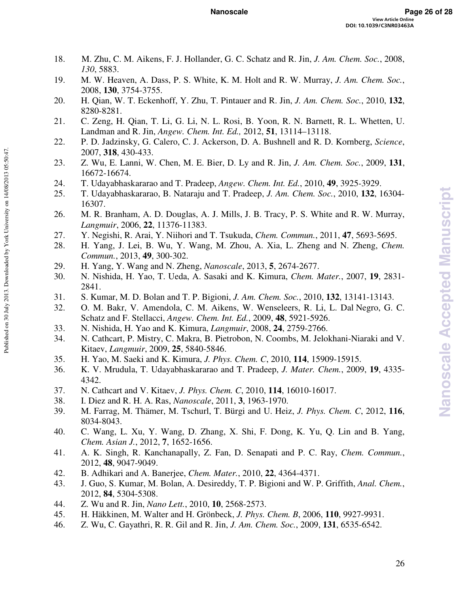- 18. M. Zhu, C. M. Aikens, F. J. Hollander, G. C. Schatz and R. Jin, *J. Am. Chem. Soc.*, 2008, *130*, 5883.
- 19. M. W. Heaven, A. Dass, P. S. White, K. M. Holt and R. W. Murray, *J. Am. Chem. Soc.*, 2008, **130**, 3754-3755.
- 20. H. Qian, W. T. Eckenhoff, Y. Zhu, T. Pintauer and R. Jin, *J. Am. Chem. Soc.*, 2010, **132**, 8280-8281.
- 21. C. Zeng, H. Qian, T. Li, G. Li, N. L. Rosi, B. Yoon, R. N. Barnett, R. L. Whetten, U. Landman and R. Jin, *Angew. Chem. Int. Ed.,* 2012, **51**, 13114–13118.
- 22. P. D. Jadzinsky, G. Calero, C. J. Ackerson, D. A. Bushnell and R. D. Kornberg, *Science*, 2007, **318**, 430-433.
- 23. Z. Wu, E. Lanni, W. Chen, M. E. Bier, D. Ly and R. Jin, *J. Am. Chem. Soc.*, 2009, **131**, 16672-16674.
- 24. T. Udayabhaskararao and T. Pradeep, *Angew. Chem. Int. Ed.*, 2010, **49**, 3925-3929.
- 25. T. Udayabhaskararao, B. Nataraju and T. Pradeep, *J. Am. Chem. Soc.*, 2010, **132**, 16304- 16307.
- 26. M. R. Branham, A. D. Douglas, A. J. Mills, J. B. Tracy, P. S. White and R. W. Murray, *Langmuir*, 2006, **22**, 11376-11383.
- 27. Y. Negishi, R. Arai, Y. Niihori and T. Tsukuda, *Chem. Commun.*, 2011, **47**, 5693-5695.
- 28. H. Yang, J. Lei, B. Wu, Y. Wang, M. Zhou, A. Xia, L. Zheng and N. Zheng, *Chem. Commun.*, 2013, **49**, 300-302.
- 29. H. Yang, Y. Wang and N. Zheng, *Nanoscale*, 2013, **5**, 2674-2677.

Published on 30 July 2013. Downloaded by York University on 14/08/2013 05:50:47.

- 30. N. Nishida, H. Yao, T. Ueda, A. Sasaki and K. Kimura, *Chem. Mater.*, 2007, **19**, 2831- 2841.
- 31. S. Kumar, M. D. Bolan and T. P. Bigioni, *J. Am. Chem. Soc.*, 2010, **132**, 13141-13143.
- 32. O. M. Bakr, V. Amendola, C. M. Aikens, W. Wenseleers, R. Li, L. Dal Negro, G. C. Schatz and F. Stellacci, *Angew. Chem. Int. Ed.*, 2009, **48**, 5921-5926.
- 33. N. Nishida, H. Yao and K. Kimura, *Langmuir*, 2008, **24**, 2759-2766.
- 34. N. Cathcart, P. Mistry, C. Makra, B. Pietrobon, N. Coombs, M. Jelokhani-Niaraki and V. Kitaev, *Langmuir*, 2009, **25**, 5840-5846.
- 35. H. Yao, M. Saeki and K. Kimura, *J. Phys. Chem. C*, 2010, **114**, 15909-15915.
- 36. K. V. Mrudula, T. Udayabhaskararao and T. Pradeep, *J. Mater. Chem.*, 2009, **19**, 4335- 4342.
- 37. N. Cathcart and V. Kitaev, *J. Phys. Chem. C*, 2010, **114**, 16010-16017.
- 38. I. Diez and R. H. A. Ras, *Nanoscale*, 2011, **3**, 1963-1970.
- 39. M. Farrag, M. Thämer, M. Tschurl, T. Bürgi and U. Heiz, *J. Phys. Chem. C*, 2012, **116**, 8034-8043.
- 40. C. Wang, L. Xu, Y. Wang, D. Zhang, X. Shi, F. Dong, K. Yu, Q. Lin and B. Yang, *Chem. Asian J.*, 2012, **7**, 1652-1656.
- 41. A. K. Singh, R. Kanchanapally, Z. Fan, D. Senapati and P. C. Ray, *Chem. Commun.*, 2012, **48**, 9047-9049.
- 42. B. Adhikari and A. Banerjee, *Chem. Mater.*, 2010, **22**, 4364-4371.
- 43. J. Guo, S. Kumar, M. Bolan, A. Desireddy, T. P. Bigioni and W. P. Griffith, *Anal. Chem.*, 2012, **84**, 5304-5308.
- 44. Z. Wu and R. Jin, *Nano Lett.*, 2010, **10**, 2568-2573.
- 45. H. Häkkinen, M. Walter and H. Grönbeck, *J. Phys. Chem. B*, 2006, **110**, 9927-9931.
- 46. Z. Wu, C. Gayathri, R. R. Gil and R. Jin, *J. Am. Chem. Soc.*, 2009, **131**, 6535-6542.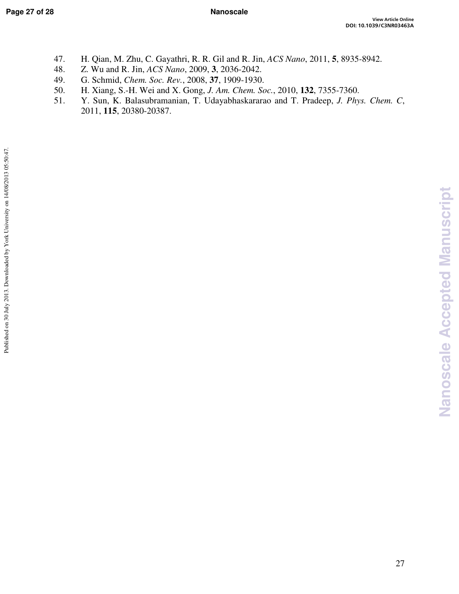- 47. H. Qian, M. Zhu, C. Gayathri, R. R. Gil and R. Jin, *ACS Nano*, 2011, **5**, 8935-8942.
- 48. Z. Wu and R. Jin, *ACS Nano*, 2009, **3**, 2036-2042.
- 49. G. Schmid, *Chem. Soc. Rev.*, 2008, **37**, 1909-1930.
- 50. H. Xiang, S.-H. Wei and X. Gong, *J. Am. Chem. Soc.*, 2010, **132**, 7355-7360.
- 51. Y. Sun, K. Balasubramanian, T. Udayabhaskararao and T. Pradeep, *J. Phys. Chem. C*, 2011, **115**, 20380-20387.

**Nanoscale Accepted Manuscript**

Nanoscale Accepted Manuscript